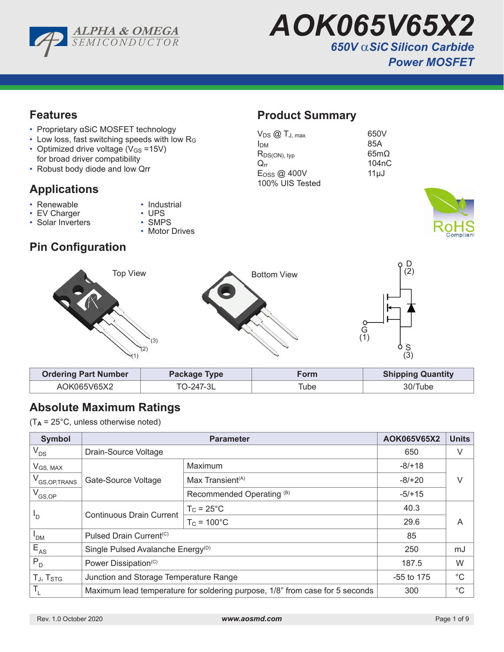

*AOK065V65X2 650V* α*SiC Silicon Carbide Power MOSFET* 

# **Features**

- Proprietary αSiC MOSFET technology
- Low loss, fast switching speeds with low R<sup>G</sup>
- Optimized drive voltage  $(V_{GS} = 15V)$ for broad driver compatibility
- Robust body diode and low Qrr

# **Applications**

- 
- Renewable Industrial
- EV Charger UPS<br>• Solar Inverters SMPS • Solar Inverters
	-
	- Motor Drives

# **Product Summary**

| $V_{DS}$ $@$ $T_{J, max}$ | 650V               |
|---------------------------|--------------------|
| Ірм                       | 85A                |
| $R_{DS(ON), typ}$         | $65m\Omega$        |
| $\rm{O}$ rr               | 104 <sub>n</sub> C |
| $E$ <sub>OSS</sub> @ 400V | $11 \mu J$         |
| 100% UIS Tested           |                    |
|                           |                    |



# **Pin Configuration**



| <b>Ordering Part Number</b> | Package Type | -orm | <b>Shipping Quantity</b> |
|-----------------------------|--------------|------|--------------------------|
| AOK065V65X2                 | TO-247-3L    | ⊺ube | 30/Tube                  |

# **Absolute Maximum Ratings**

(T**A** = 25°C, unless otherwise noted)

| <b>Symbol</b>                     |                                                                              | AOK065V65X2                               | <b>Units</b> |             |  |
|-----------------------------------|------------------------------------------------------------------------------|-------------------------------------------|--------------|-------------|--|
| $V_{DS}$                          | Drain-Source Voltage                                                         |                                           | 650          | V           |  |
| $V_{GS, MAX}$                     |                                                                              | Maximum                                   | $-8/+18$     | V           |  |
| V <sub>GS, OP, TRANS</sub>        | Gate-Source Voltage                                                          | Max Transient <sup><math>(A)</math></sup> | $-8/+20$     |             |  |
| $V_{GS,OP}$                       |                                                                              | Recommended Operating <sup>(B)</sup>      | $-5/+15$     |             |  |
|                                   |                                                                              | $T_{C}$ = 25 $^{\circ}$ C                 | 40.3         |             |  |
| $P_{\text{D}}$                    | <b>Continuous Drain Current</b>                                              | $T_c = 100^{\circ}C$                      | 29.6         | A           |  |
| <b>PDM</b>                        | Pulsed Drain Current <sup>(C)</sup>                                          |                                           | 85           |             |  |
| $E_{AS}$                          | Single Pulsed Avalanche Energy <sup>(D)</sup>                                |                                           | 250          | mJ          |  |
| $P_{D}$                           | Power Dissipation <sup>(C)</sup>                                             |                                           | 187.5        | W           |  |
| T <sub>J</sub> , T <sub>STG</sub> | Junction and Storage Temperature Range                                       |                                           | $-55$ to 175 | $^{\circ}C$ |  |
| T,                                | Maximum lead temperature for soldering purpose, 1/8" from case for 5 seconds |                                           | 300          | $^{\circ}C$ |  |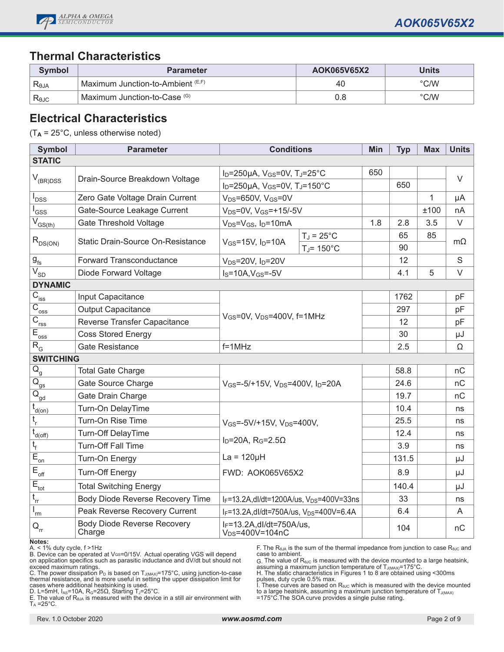

# **Thermal Characteristics**

| Symbol         | <b>Parameter</b>                  | AOK065V65X2 | Units          |
|----------------|-----------------------------------|-------------|----------------|
| Reja           | Maximum Junction-to-Ambient (E,F) | 40          | $\degree$ C/W  |
| $R_{\theta$ JC | Maximum Junction-to-Case (G)      | 0.8         | $^{\circ}$ C/W |

# **Electrical Characteristics**

(T**A** = 25°C, unless otherwise noted)

| <b>Symbol</b>                                     | <b>Parameter</b>                             | <b>Conditions</b>                                                |                                                | Min | <b>Typ</b> | <b>Max</b> | <b>Units</b> |
|---------------------------------------------------|----------------------------------------------|------------------------------------------------------------------|------------------------------------------------|-----|------------|------------|--------------|
| <b>STATIC</b>                                     |                                              |                                                                  |                                                |     |            |            |              |
|                                                   | Drain-Source Breakdown Voltage               | $I_D = 250 \mu A$ , $V_{GS} = 0V$ , $T_J = 25^{\circ}C$          |                                                | 650 |            |            | $\vee$       |
| $V_{(BR)DSS}$                                     |                                              | $I_D = 250 \mu A$ , $V_{GS} = 0V$ , T <sub>J</sub> =150°C        |                                                |     | 650        |            |              |
| l<br>DSS                                          | Zero Gate Voltage Drain Current              | $V_{DS} = 650V$ , $V_{GS} = 0V$                                  |                                                |     |            | 1          | μA           |
| l <sub>GSS</sub>                                  | Gate-Source Leakage Current                  | $V_{DS} = 0V$ , $V_{GS} = +15/-5V$                               |                                                |     |            | ±100       | nA           |
| $\overline{V}_{GS(th)}$                           | <b>Gate Threshold Voltage</b>                | $V_{DS} = V_{GS}$ , $I_D = 10mA$                                 |                                                | 1.8 | 2.8        | 3.5        | $\vee$       |
| $R_{DS(ON)}$                                      | Static Drain-Source On-Resistance            | $V_{GS}$ =15V, $I_D$ =10A                                        | $T_J = 25^{\circ}C$<br>$T_J$ = 150 $\degree$ C |     | 65<br>90   | 85         | $m\Omega$    |
| $g_{\text{fs}}$                                   | <b>Forward Transconductance</b>              | $V_{DS}$ =20V, $I_D$ =20V                                        |                                                |     | 12         |            | $\mathbf S$  |
| $V_{SD}$                                          | Diode Forward Voltage                        | $IS=10A, VGS=-5V$                                                |                                                |     | 4.1        | 5          | $\vee$       |
| <b>DYNAMIC</b>                                    |                                              |                                                                  |                                                |     |            |            |              |
| $\overline{C}_{\underline{iss}}$                  | Input Capacitance                            |                                                                  |                                                |     | 1762       |            | pF           |
| $\overline{C}_{\underline{oss}}$                  | <b>Output Capacitance</b>                    | $V_{GS}$ =0V, $V_{DS}$ =400V, f=1MHz                             |                                                |     | 297        |            | pF           |
| $\overline{C}_{\underline{rss}}$                  | Reverse Transfer Capacitance                 |                                                                  |                                                |     | 12         |            | pF           |
| $E_{\underbrace{\text{oss}}}$                     | <b>Coss Stored Energy</b>                    |                                                                  |                                                |     | 30         |            | μJ           |
| $R_G$                                             | <b>Gate Resistance</b>                       | $f = 1$ MHz                                                      |                                                |     | 2.5        |            | Ω            |
| <b>SWITCHING</b>                                  |                                              |                                                                  |                                                |     |            |            |              |
| $Q_{\underline{g}}$                               | <b>Total Gate Charge</b>                     |                                                                  |                                                |     | 58.8       |            | nC           |
| $\overline{Q}_{gs}$                               | Gate Source Charge                           | $V_{GS} = -5/+15V$ , $V_{DS} = 400V$ , $I_D = 20A$               |                                                |     | 24.6       |            | nС           |
| $\overline{\mathsf{Q}}_{\underline{\mathsf{gd}}}$ | Gate Drain Charge                            |                                                                  |                                                |     | 19.7       |            | nC           |
| $t_{d(0n)}$                                       | Turn-On DelayTime                            |                                                                  |                                                |     | 10.4       |            | ns           |
| $t_{r}$                                           | Turn-On Rise Time                            | V <sub>GS</sub> =-5V/+15V, V <sub>DS</sub> =400V,                |                                                |     | 25.5       |            | ns           |
| $\bar{t}_{\underline{d(\text{off})}}$             | <b>Turn-Off DelayTime</b>                    |                                                                  |                                                |     | 12.4       |            | ns           |
| $t_f$                                             | Turn-Off Fall Time                           | $I_D=20A$ , R <sub>G</sub> =2.5 $\Omega$                         |                                                |     | 3.9        |            | ns           |
| $\overline{E}_{\underline{on}}$                   | Turn-On Energy                               | $La = 120\mu H$                                                  |                                                |     | 131.5      |            | μJ           |
| $\mathsf{E}_{\mathsf{off}}$                       | <b>Turn-Off Energy</b>                       | FWD: AOK065V65X2                                                 |                                                |     | 8.9        |            | μJ           |
| $\overline{E}_{\underline{tot}}$                  | <b>Total Switching Energy</b>                |                                                                  |                                                |     | 140.4      |            | μJ           |
| $t_{rr}$                                          | Body Diode Reverse Recovery Time             | IF=13.2A, dl/dt=1200A/us, V <sub>DS</sub> =400V=33ns             |                                                |     | 33         |            | ns           |
| 'rm                                               | Peak Reverse Recovery Current                | I <sub>F</sub> =13.2A, dl/dt=750A/us, V <sub>DS</sub> =400V=6.4A |                                                |     | 6.4        |            | A            |
| $Q_{\rm{rr}}$                                     | <b>Body Diode Reverse Recovery</b><br>Charge | $I_F = 13.2A$ , dl/dt=750A/us,<br>V <sub>DS</sub> =400V=104nC    |                                                |     | 104        |            | nC           |

**Notes:**

A. < 1% duty cycle, f >1Hz

B. Device can be operated at VGS=0/15V. Actual operating VGS will depend on application specifics such as parasitic inductance and dV/dt but should not

exceed maximum ratings.<br>C. The power dissipation P<sub>D</sub> is based on T<sub>J(MAX)</sub>=175°C, using junction-to-case thermal resistance, and is more useful in setting the upper dissipation limit for

cases where additional heatsinking is used.<br>D. L=5mH, I<sub>AS</sub>=10A, R<sub>G</sub>=25Ω, Starting Tյ=25°C.<br>E. The value of R<sub>θJA</sub> is measured with the device in a still air environment with<br>T<sub>A</sub> =25°C.

F. The  $R_{\theta JA}$  is the sum of the thermal impedance from junction to case  $R_{\theta JC}$  and case to ambient.

G. The value of RθJC is measured with the device mounted to a large heatsink, assuming a maximum junction temperature of  $T_{J(MAX)}$ =175°C.

H. The static characteristics in Figures 1 to 8 are obtained using <300ms

pulses, duty cycle 0.5% max.<br>I. These curves are based on R<sub>s⊍C</sub> which is measured with the device mounted<br>to a large heatsink, assuming a maximum junction temperature of T<sub>J(MAX)</sub><br>=175°C.The SOA curve provides a single p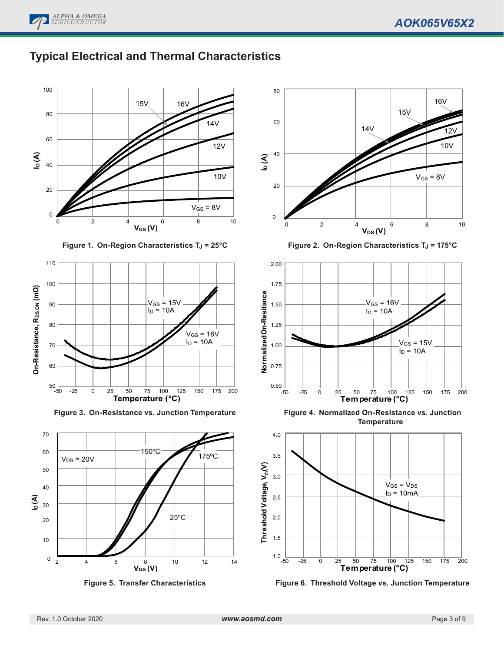





**Figure 1. On-Region Characteristics T<sub>J</sub> = 25°C** 



**Figure 3. On-Resistance vs. Junction Temperature**







**Figure 2. On-Region Characteristics T<sub>J</sub> = 175°C** 



**Figure 4. Normalized On-Resistance vs. Junction Temperature**



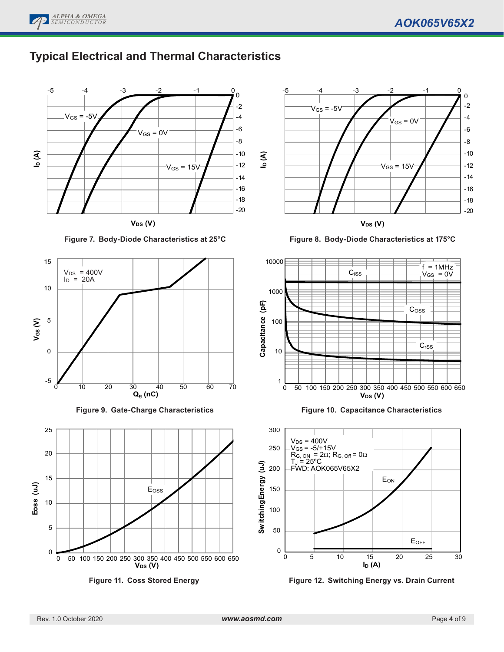

# **Typical Electrical and Thermal Characteristics**



**Figure 7. Body-Diode Characteristics at 25°C**









**Figure 8. Body-Diode Characteristics at 175°C**



**Figure 10. Capacitance Characteristics**



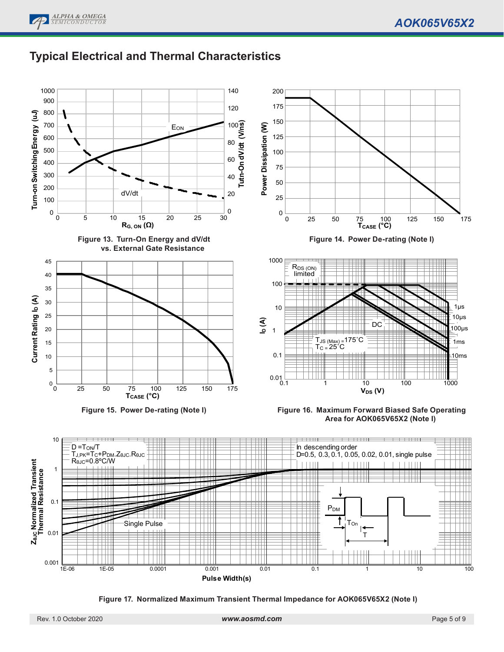# **Typical Electrical and Thermal Characteristics**



**Figure 17. Normalized Maximum Transient Thermal Impedance for AOK065V65X2 (Note I)**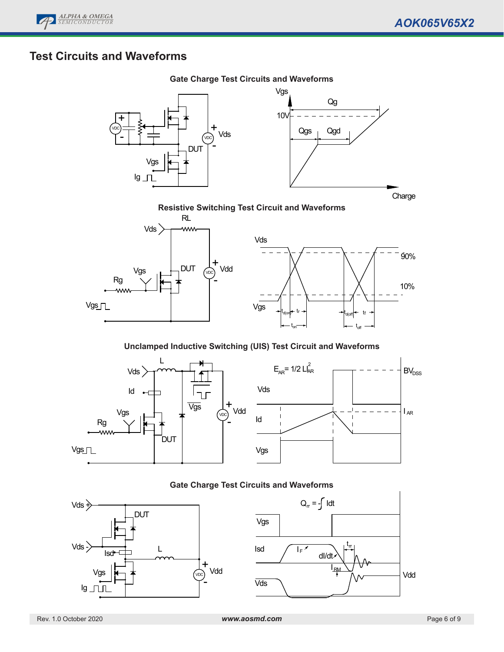

# **Test Circuits and Waveforms**



### Resistive Switching Test Circuit & Waveforms **Resistive Switching Test Circuit and Waveforms**



### Unclamped Inductive Switching (UIS) Test Circuit & Waveforms **Unclamped Inductive Switching (UIS) Test Circuit and Waveforms**



### **Gate Charge Test Circuits and Waveforms**



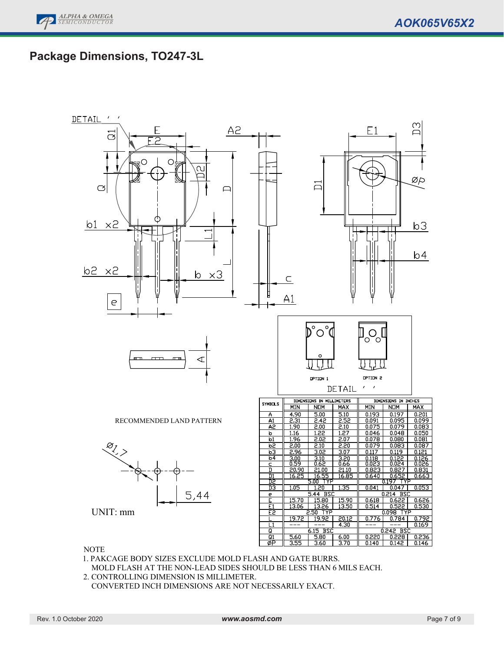# **Package Dimensions, TO247-3L**



NOTE

1. PAKCAGE BODY SIZES EXCLUDE MOLD FLASH AND GATE BURRS.

MOLD FLASH AT THE NON-LEAD SIDES SHOULD BE LESS THAN 6 MILS EACH.

2. CONTROLLING DIMENSION IS MILLIMETER.

CONVERTED INCH DIMENSIONS ARE NOT NECESSARILY EXACT.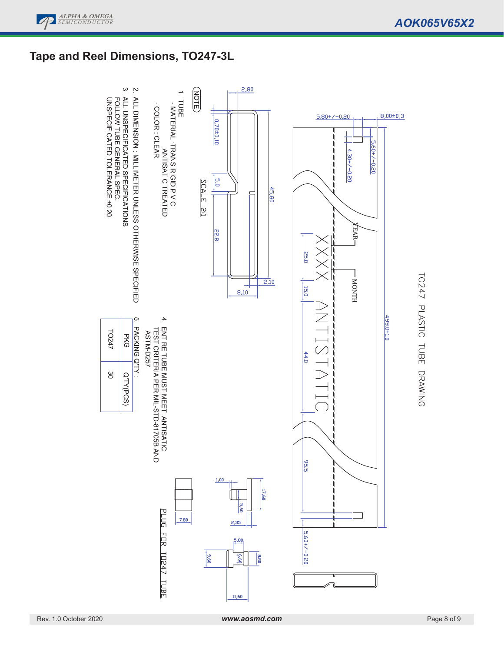

# **Tape and Reel Dimensions, TO247-3L**



# TO247 PLASTIC TUBE DRAWING